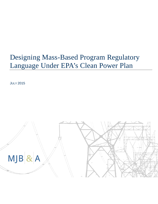# Designing Mass-Based Program Regulatory Language Under EPA's Clean Power Plan

**JULY 2015** 

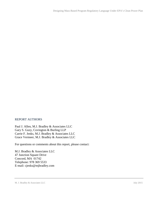#### REPORT AUTHORS

Paul J. Allen, M.J. Bradley & Associates LLC Gary S. Guzy, Covington & Burling LLP Carrie F. Jenks, M.J. Bradley & Associates LLC Grace Vermeer, M.J. Bradley & Associates LLC

For questions or comments about this report, please contact:

M.J. Bradley & Associates LLC 47 Junction Square Drive Concord, MA 01742 Telephone: 978 369 5533 E-mail: cjenks@mjbradley.com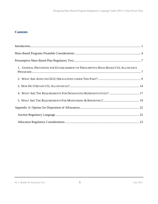# **Contents**

| 1. GENERAL PROVISIONS FOR ESTABLISHMENT OF PRESUMPTIVE MASS-BASED CO <sub>2</sub> ALLOWANCE |  |
|---------------------------------------------------------------------------------------------|--|
|                                                                                             |  |
|                                                                                             |  |
|                                                                                             |  |
|                                                                                             |  |
|                                                                                             |  |
|                                                                                             |  |
|                                                                                             |  |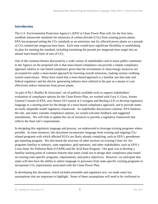# <span id="page-3-0"></span>**Introduction**

The U.S. Environmental Protection Agency's (EPA's) Clean Power Plan will, for the first time, establish nationwide standards for emissions of carbon dioxide  $(CO<sub>2</sub>)$  from existing power plants. EPA has proposed setting the  $CO<sub>2</sub>$  standards as an emissions rate for affected power plants on a pounds of CO<sup>2</sup> emitted per megawatt hour basis. Each state would have significant flexibility in establishing its plan for meeting the standard, including translating the pounds per megawatt hour target into an annual mass-based limit of tons of CO2.

One of the common themes discussed by a wide variety of stakeholders and in many public comments to the Agency on the proposed rule is that mass-based compliance can provide a simple compliance approach relative to rate-based compliance given that the investments in clean energy resources are accounted for under a mass-based approach by lowering overall emissions, making various crediting system unnecessary. Many have noted that a mass-based approach is a familiar one that state and federal regulators and the electric generating industry have utilized in the past as a means to costeffectively reduce emissions from power plants.

As part of M.J. Bradley & Associates' set of publicly available tools to support stakeholders' evaluation of compliance options for the Clean Power Plan, we worked with Gary S. Guzy, former General Counsel of EPA, now Senior Of Counsel at Covington and Burling LLP, to develop regulatory language as a starting point for the design of a mass-based compliance approach, and to provide states an easily adoptable model regulatory framework. As stakeholder discussions continue, EPA finalizes the rule, and states consider compliance options, we would welcome feedback and suggested amendments. We will look to update this set of resources to provide a regulatory framework that reflects the final rule's requirements.

In designing this regulatory language and process, we endeavored to leverage existing programs where possible. In some instances, this document incorporates language from existing and ongoing  $CO<sub>2</sub>$ related programs with which affected EGUs are likely already complying, such as EPA's greenhouse gas reporting program. We also based the structure of other sections on existing Clean Air Act programs familiar to industry, state regulators, grid operators, and other stakeholders, such as EPA's Cross-State Air Pollution Rule (CSAPR) and the Acid Rain Program. Our goal was to develop a familiar starting point of common features that states could use to design their compliance plan based on existing state-specific programs, requirements, and policy objectives. However, we anticipate that states will also have the ability to utilize language or processes from state-specific existing programs to incorporate CO<sup>2</sup> requirements associated with the Clean Power Plan.

In developing this document, which includes preamble and regulatory text, we made some key assumptions that are important to highlight. Some of these assumptions will need to be confirmed or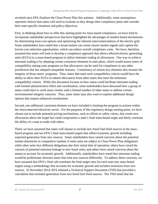revisited once EPA finalizes the Clean Power Plan this summer. Additionally, some assumptions represent choices that states will need to evaluate as they design their compliance plans and consider their state-specific situations and policy objectives.

First, in thinking about how to offer this starting point for mass-based compliance, we have tried to incorporate stakeholder perspectives that have highlighted the advantages of market-based mechanisms for determining least-cost options and optimizing the inherent interconnectedness of the electric grid. Some stakeholders have noted that a broad market can create clearer market signals and capture the lowest-cost reduction opportunities, which can reduce overall compliance costs. We have, therefore, assumed that states will look to develop a compliance approach that allows affected electric generating units (EGUs) in a mass-based program to utilize interstate trading of allowances. One way to achieve interstate trading is by adopting certain consistent elements in state plans, which would assure states of compatibility among state programs so that allowances can be used for compliance in any other jurisdiction that has adopted compatible features. Consistency of certain key elements also ensures the integrity of those states' programs. Thus, states that meet such compatibility criteria would have the ability to allow their EGUs to submit allowances from other states that meet the minimum compatibility criteria. While this document focuses on how states could facilitate interstate trading with limited administrative effort and coordination, some stakeholders have discussed how a group of states could elect to work more closely with a limited number of other states to address certain environmental integrity concerns. Thus, some states may also want to explore additional design options that require enhanced coordination.

Second, one additional consistent element we have included is limiting the program to actions within the interconnected electricity sector. For the purposes of this regulatory design starting point, we have chosen not to include potential pricing mechanisms, such as offsets or safety valves, that create new allowances above the target but could compromise a state's final mass-based target and likely constrain the ability of a state to trade with others.

Third, we have assumed that states will choose to include new fossil fuel-fired sources in the massbased program and use EPA's final mass-based targets that reflect economic growth including expected generation from new sources. Some stakeholders have raised concerns about the potential market distortions in competitive markets if some units are subject to Clean Power Plan obligations while other units face different obligations due their initial date of operation; others have raised the concern of potential emission leakage to new fossil units; and others have raised concerns about the means to account for economic growth. Additionally, stakeholders have noted that interstate trading would be problematic between states that treat new sources differently. To address these concerns, we have assumed that EPA's final rule translates the final target rates for each state into mass-based targets using a methodology that accounts for economic growth and includes emissions from new sources. In November 2014, EPA released a Technical Support Document (TSD) that provided a calculation that included generation from new fossil fuel-fired sources. The TSD noted that the

M.J. Bradley & Associates LLC 3 and 2 3 July 2015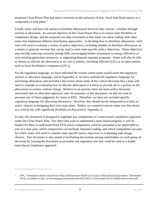proposed Clean Power Plan had taken comment on the inclusion of new, fossil fuel-fired sources as a component of state plans.<sup>1</sup>

Fourth, states will have the option to distribute allowances however they choose—whether through auction or allocation. An overall objective of the Clean Power Plan is to ensure state flexibility in compliance design, and the proposal was thus structured so that states can allow trading with other states that implement different distribution approaches. In deciding how to distribute allowances, each state will need to evaluate a variety of policy objectives, including whether to distribute allowances as a means to generate revenue that can be used to meet state-specific policy objectives. These objectives may include reducing consumer energy bills, encouraging further investment in energy efficiency or zero-emitting generation resources, or supporting demand response programs. States will also be able to choose to allocate the allowances at no cost to entities, including affected EGUs or to other entities such as local distribution companies (LDCs).

For the regulatory language, we have indicated the section where states would insert the regulatory auction or allocation language, and in Appendix A, we have outlined the regulatory language for auctioning allowances and included a discussion about some of the critical decisions that a state will need to consider in evaluating how to allocate allowances if it elects to provide all or a portion of the allowances to entities without charge. Relative to an auction, there are more policy decisions associated with an allocation approach, and, for purposes of this document, we did not want to presume any of those judgments for states or EPA. Therefore, we have not included specific regulatory language for allocating allowances. However, this should not be interpreted as a limit on states' choices in designing their own state plans. Rather, we wanted to ensure states saw this choice as a critical one with significant flexibility as discussed in Appendix A.

In sum, this document is designed to highlight key components of a mass-based compliance approach under the Clean Power Plan. For states that want to implement a mass-based program, it will be helpful for them to understand from EPA which components could be presumed to be approvable as part of a state plan, which components can facilitate interstate trading, and which components are ones for which states will need to consider state-specific policy objectives in evaluating state design choices. This document is also aimed at facilitating discussions among stakeholders on each group of decisions by framing the document as preamble and regulatory text that could be used as a model mass-based compliance approach.

<sup>1</sup> EPA, "Translation of the Clean Power Plan Emission Rate-Based CO<sup>2</sup> Goals to Mass-Based Equivalents" (November 2014). Available at: http://www2.epa.gov/sites/production/files/2014-11/documents/20141106tsd-rate-to-mass.pdf.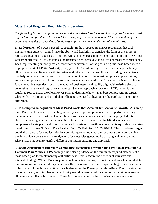# <span id="page-6-0"></span>**Mass-Based Programs Preamble Considerations**

*The following is a starting point for some of the considerations for preamble language for mass-based regulations and provides a framework for developing preamble language. The introduction of this document provides an overview of policy assumptions we have made that inform this text.* 

**1. Endorsement of a Mass-Based Approach**. In the proposed rule, EPA recognized that each implementing authority should have the ability and flexibility to translate the form of the emission rate-based goal to a mass-based form (i.e., with a goal expressed in terms of total short tons of  $CO<sub>2</sub>$  per year from affected EGUs), as long as the translated goal achieves the equivalent measure of stringency. Each implementing authority may demonstrate achievement of the goal using this mass-based metric, as proposed at 40 CFR §60.5740(a)(3)(B)(ii)(B). EPA could recognize that such an approach may: allow for superior alignment with intrastate and interstate emissions allowance trading mechanisms that help to reduce compliance costs by broadening the pool of low-cost compliance opportunities; enhance compliance flexibilities for sources; create market-based compliance mechanisms that leave fundamental business decisions in the hands of businesses; and readily align with existing electric generating industry and regulatory structures. Such an approach allows each EGU, which is the regulated source under the Clean Power Plan, to determine how it may best comply with its target, whether that be through enhanced plant efficiency, reduced utilization, or the purchase of emissions allowances.

**2. Presumptive Recognition of Mass-Based Goals that Account for Economic Growth**. Assuming that EPA provides each implementing authority with a presumptive mass-based performance target, the target could reflect historical generation as well as generation needed to serve projected future electric demand, given that states have the option to include new fossil fuel-fired sources as a component of state plans and to accommodate for systemic growth in a way that is equivalent to a ratebased standard. See Notice of Data Availability at 79 Fed. Reg. 67406, 67408. The mass-based target could also account for new facilities by committing to periodic updates of these state targets, which would provide a consistent market dynamic for electricity generated by existing and new sources. Also, states may seek to justify a different translation outcome and approach.

**3. Acknowledgment of Interstate Compliance Mechanisms through the Creation of Presumptive Common Plan Metrics.** EPA could provide clear guidance on the minimum required elements of a mass-based plan for implementing authorities who seek to secure the benefits of intrastate and interstate trading. While EPA may permit such interstate trading, it is not a mandatory feature of state plan submissions. Rather, it may be a cost-effective option that some implementing authorities choose to facilitate. Through the adoption of each element of the Presumptive Mass-Based Plan contained in this rulemaking, each implementing authority would be assured of the creation of fungible interstate allowance compliance instruments. These instruments would reflect consistency between state

M.J. Bradley & Associates LLC  $\overline{4}$   $\overline{4}$  July 2015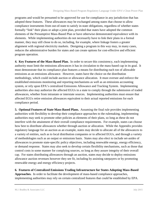programs and would be presumed to be approved for use for compliance in any jurisdiction that has adopted these features. These allowances may be exchanged among states that choose to allow compliance instruments from out-of-state to satisfy in-state obligations, regardless of whether states formally "link" their plans or adopt a joint plan, provided that states have adopted the common elements of the Presumptive Mass-Based Plan or have otherwise demonstrated equivalence with its elements. While implementing authorities do not necessarily have to link their plans in a formal manner, they may still chose to do so, including, for example, where linkage fosters a greater alignment with regional electricity markets. Designing a program in this way may, in many cases, reduces the administrative burden for states and can create options for cost-effective and efficient program operation.

**4. Key Features of the Mass-Based Plan.** In order to secure this consistency, each implementing authority must limit the emissions allowances it has in circulation to the mass-based cap in its goal. It must demonstrate that its compliance plan features a means for distributing each ton of allowable emissions as an emissions allowance. However, states have the choice on the distribution methodology, which could include auction or allowance allocation. It must oversee and enforce the established emissions monitoring and reporting mechanisms as well as an emissions accounting system, or rely upon EPA's centralized Emissions Allowance and Tracking System. Implementing authorities also may authorize the affected EGUs in a state to comply through the submission of traded allowances, whether from intrastate or interstate sources. Implementing authorities must ensure that affected EGUs retire emission allowances equivalent to their actual reported emissions for each compliance period.

**5. Optional Features of State Mass-Based Plans.** Assuming the final rule provides implementing authorities with flexibility to develop their compliance approaches to the rulemaking, implementing authorities may seek to promote other policies as elements of their plans, so long as these do not interfere with the attainment of their overall compliance requirements. For example, states can choose how best to distribute allowances whether through auction or allocation. While the Appendix provides regulatory language for an auction as an example, states may decide to allocate all of the allowances to a variety of entities, such as to local distribution companies or to affected EGUs, and through a variety of methodologies such as an output or emissions basis. States may also elect to include set-asides of allowances to promote state-specific policy objectives, including renewable energy, energy efficiency, or demand response. States may also seek to develop certain flexibility mechanisms, such as those that control costs in some manner for complying sources, so long as they assure integrity of their overall cap. For states distributing allowances through an auction, states may decide to deploy emissions allowance auction revenues however they see fit, including by assisting ratepayers or by promoting renewable energy and energy efficiency projects.

**6. Features of Centralized Emissions Trading Infrastructure for States Adopting Mass-Based Approaches.** In order to facilitate the development of mass-based compliance approaches, implementing authorities may rely on certain centralized features that could be established by EPA.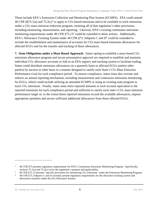These include EPA's Emissions Collection and Monitoring Plan System (ECMPS). EPA could amend 40 CFR §§75.1(a) and 75.2(c)<sup>2</sup> to apply to  $CO<sub>2</sub>$ -based emissions and to be available to track emissions under a  $CO<sub>2</sub>$  mass emission reduction program, retaining all of that regulation's other provisions, including monitoring, measurement, and reporting. Likewise, EPA's existing continuous emissions monitoring requirements under 40 CFR §75.13<sup>3</sup> could be extended to these actions. Additionally, EPA's Allowance Tracking System under 40 CFR §73, Subparts C and  $D<sup>4</sup>$  could be extended to include the establishment and maintenance of accounts for  $CO<sub>2</sub>$  mass-based emissions allowances for affected EGUs and for the transfer and tracking of those allowances.

**7. State Obligations under a Mass-Based Approach.** States opting to establish a mass-based CO<sup>2</sup> emissions allowance program and secure presumptive approval are required to establish and maintain individual CO<sub>2</sub> allowance accounts or link to an EPA registry and tracking system to facilitate trading. States could distribute emissions allowances on a quarterly basis to affected EGUs (and/or other parties) by auction or other basis in a manner designed to satisfy each State's CO<sub>2</sub> Mass Emission Performance Goal for each compliance period. To ensure compliance, states must also oversee and enforce an annual reporting mechanism, including measurement and continuous emissions monitoring, for EGUs, which could include utilizing an amended ECMPS or using an existing state program to track CO<sub>2</sub> emissions. Finally, states must retire reported amounts in each account equivalent to the reported emissions for each compliance period and sufficient to satisfy each state's  $CO<sub>2</sub>$  mass emission performance target or, to the extent those reported emissions exceed the available allowances, impose appropriate penalties and secure sufficient additional allowances from those affected EGUs.

<sup>2</sup> 40 CFR §75 presents regulatory requirements for EPA's Continuous Emissions Monitoring Program. Specifically, sections 75.1(a) and 75.2(c) cover the regulation's purpose and applicability.

<sup>3</sup> 40 CFR §75.13 presents "specific provisions for monitoring CO<sup>2</sup> emissions" under the Emissions Monitoring Program.

<sup>4</sup> 40 CFR §73, Subparts C and D currently present regulatory requirements for the allowance tracking system and allowances transfers under the SO2 Allowance System.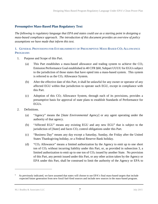# <span id="page-9-0"></span>**Presumptive Mass-Based Plan Regulatory Text**

*The following is regulatory language that EPA and states could use as a starting point in designing a mass-based compliance approach. The introduction of this document provides an overview of policy assumptions we have made that inform this text.*

### <span id="page-9-1"></span>**1. GENERAL PROVISIONS FOR ESTABLISHMENT OF PRESUMPTIVE MASS-BASED CO<sup>2</sup> ALLOWANCE PROGRAMS**

- 1. Purpose and Scope of this Part.
	- (a) This Part establishes a mass-based allowance and trading system to achieve the  $CO<sub>2</sub>$ Emission Performance Goal established in 40 CFR §60, Subpart UUUU for EGUs subject to the jurisdiction of those states that have opted into a mass-based system. This system is referred to as the  $CO<sub>2</sub>$  Allowance System.
	- (b) After the effective date of this Part, it shall be unlawful for any owner or operator of any affected EGU within that jurisdiction to operate such EGU, except in compliance with this Part.
	- (c) Adoption of this  $CO<sub>2</sub>$  Allowance System, through each of its provisions, provides a presumptive basis for approval of state plans to establish Standards of Performance for EGUs.
- 2. Definitions.
	- (a) "Agency" means the [*State Environmental Agency*] or any agent operating under the authority of that agency.
	- (b) "Affected EGU" means any existing EGU and any new EGU*<sup>5</sup>* that is subject to the jurisdiction of [*State*] and faces CO<sub>2</sub> control obligations under this Part.
	- (c) "Business Day" means any day except a Saturday, Sunday, the Friday after the United States Thanksgiving holiday, or a Federal Reserve Bank holiday.
	- (d) "CO<sup>2</sup> Allowance" means a limited authorization by the Agency to emit up to one short ton of  $CO<sub>2</sub>$  without incurring liability under this Part, or, as provided in subsection [3,](#page-11-1) a limited authorization to emit up to one ton of  $CO<sub>2</sub>$  issued by another State. No provision of this Part, any permit issued under this Part, or any other action taken by the Agency or EPA under this Part, shall be construed to limit the authority of the Agency or EPA to

<sup>5</sup> As previously indicated, we have assumed that states will choose to use EPA's final mass-based targets that include expected future generation from new fossil fuel-fired sources and include new sources in the mass-based program.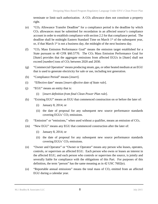terminate or limit such authorization. A  $CO<sub>2</sub>$  allowance does not constitute a property right.

- (e) "CO<sup>2</sup> Allowance Transfer Deadline" for a compliance period is the deadline by which  $CO<sub>2</sub>$  allowances must be submitted for recordation in an affected source's compliance account in order to establish compliance with section 2.2 for that compliance period. The deadline shall be midnight Eastern Standard Time on March 1<sup>st</sup> of the subsequent year, or, if that March  $1<sup>st</sup>$  is not a business day, the midnight of the next business day.
- (f) "CO<sup>2</sup> Mass Emission Performance Goal" means the emission target established for a State pursuant to 40 CFR  $\S 60.5770$ . The  $CO<sub>2</sub>$  Mass Emission Performance Goal for [*State*] provides that the aggregate emissions from affected EGUs in [*State*] shall not exceed [*number*] tons of CO<sub>2</sub> between 2020 and 2030.
- (g) "Commercial Operation" means producing steam, gas, or other heated medium at an EGU that is used to generate electricity for sale or use, including test generation.
- (h) "Compliance Period" means [*insert*]*.*
- (i) "Effective date" means [*insert effective date of State rule*].
- (j) "EGU" means an entity that is:
	- (i) [*insert definition from final Clean Power Plan rule*].
- (k) *"*Existing EGU" means an EGU that commenced construction on or before the later of:
	- (i) January 8, 2014; or
	- (ii) the date of proposal for any subsequent new source performance standards covering EGUs' CO<sub>2</sub> emissions.
- (l) "Emission" or "emissions," when used without a qualifier, means an emission of  $CO<sub>2</sub>$ .
- (m) "New EGU" means any EGU that commenced construction after the later of:
	- (i) January 8, 2014; or
	- (ii) the date of proposal for any subsequent new source performance standards covering EGUs' CO<sub>2</sub> emissions.
- (n) "Owner and Operator" or "Owner or Operator" means any person who leases, operates, controls, or supervises an affected EGU. Each person who owns or leases an interest in the affected EGU, and each person who controls or supervises the source, is jointly and severally liable for compliance with the obligations of this Part. For purposes of this definition, the term "person" has the same meaning as in 42 USC 7602(e).
- (o) "Reportable annual emissions" means the total mass of  $CO<sub>2</sub>$  emitted from an affected EGU during a calendar year.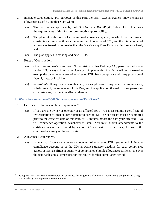- <span id="page-11-1"></span>3. Interstate Cooperation. For purposes of this Part, the term " $CO<sub>2</sub>$  allowance" may include an allowance issued by another State where:
	- (a) The plan has been approved by the U.S. EPA under 40 CFR §60, Subpart UUUU or meets the requirements of this Part for presumptive approvability;
	- (b) The plan takes the form of a mass-based allowance system, in which each allowance constitutes a limited authorization to emit up to one ton of  $CO<sub>2</sub>$ , and the total number of allowances issued is no greater than the State's  $CO<sub>2</sub>$  Mass Emission Performance Goal; and
	- (c) The plan applies to existing and new EGUs.
- 4. Rules of Construction.
	- (a) Other requirements preserved. No provision of this Part, any CO<sub>2</sub> permit issued under section 2.3, or any action by the Agency in implementing this Part shall be construed to exempt the owner or operator of an affected EGU from compliance with any provision of federal, state, or local law.
	- (b) *Severability*. If any provision of this Part, or its application to any person or circumstance, is held invalid, the remainder of this Part, and the application thereof to other persons or circumstances, shall not be affected thereby.

## <span id="page-11-0"></span>**2. WHAT ARE AFFECTED EGU OBLIGATIONS UNDER THIS PART?**

- 1. Certificate of Representation Requirement.<sup>6</sup>
	- (a) If you are the owner or operator of an affected EGU, you must submit a certificate of representation for that source pursuant to section 4.1. The certificate must be submitted prior to the effective date of this Part, or 12 months before the date your affected EGU will commence operation, whichever is later. You must submit amendments to the certificate whenever required by sections 4.1 and 4.4, or as necessary to ensure the continued accuracy of the certificate.
- 2. Allowance Requirement.
	- (a) *In general.* If you are the owner and operator of an affected EGU, you must hold in your compliance account, as of the  $CO<sub>2</sub>$  allowance transfer deadline for each compliance period, at least a sufficient quantity of compliance-eligible allowances sufficient to cover the reportable annual emissions for that source for that compliance period.

<sup>6</sup> As appropriate, states could also supplement or replace this language by leveraging their existing programs and citing current designated representative requirements.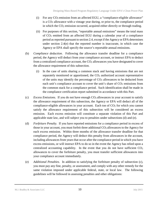- (i) For any  $CO<sub>2</sub>$  emission from an affected EGU, a "compliance-eligible allowance" is a  $CO<sub>2</sub>$  allowance with a vintage year during, or prior to, the compliance period in which the CO<sub>2</sub> emission occurred, acquired either directly or through trading.
- (ii) For purposes of this section, "reportable annual emissions" means the total mass of CO<sup>2</sup> emitted from an affected EGU during a calendar year of a compliance period as reported pursuant to section 2.4, except if the Agency or EPA determines under section 2.4(e) that the reported number is inaccurate, in which case the Agency or EPA shall specify the source's reportable annual emissions.
- (b) *Compliance deduction.* Following the allowance transfer deadline for a compliance period, the Agency will deduct from your compliance account, or instruct EPA to deduct from a centralized compliance account, the  $CO<sub>2</sub>$  allowances you have designated to cover the allowance requirement of this subsection.
	- (i) In the case of units sharing a common stack and having emissions that are not separately monitored or apportioned, the  $CO<sub>2</sub>$  authorized account representative of the units may identify the percentage of  $CO<sub>2</sub>$  allowances to be deducted from each unit's compliance account to cover the unit's share of  $CO<sub>2</sub>$  emissions from the common stack for a compliance period. Such identification shall be made in the compliance certification report submitted in accordance with this Part.
- (c) *Excess Emissions.* If you do not have enough CO2 allowances in your account to satisfy the allowance requirement of this subsection, the Agency or EPA will deduct all of the compliance-eligible allowances in your account. Each ton of  $CO<sub>2</sub>$  for which you cannot satisfy the allowance requirement of this subsection will be considered an excess emission. Each excess emission will constitute a separate violation of this Part and applicable state law, and will subject you to penalties under subsections (d) and (e).
- <span id="page-12-0"></span>(d) *Forfeiture Penalty.* If you have reported emissions for a compliance period in excess of those in your account, you must forfeit three additional  $CO<sub>2</sub>$  allowances to the Agency for each excess emission. Within three months of the allowance transfer deadline for that compliance period, the Agency will deduct this penalty from allowances in the account, including allowances from years that occur after the compliance period in which you have excess emissions, or will instruct EPA to do so in the event the Agency has relied upon a centralized accounting capability. In the event that you do not have sufficient  $CO<sub>2</sub>$ allowances to cover the forfeiture penalty, you must transfer sufficient allowances into your compliance account immediately.
- (e) *Additional Penalties.* In addition to satisfying the forfeiture penalty of subsection [\(c\),](#page-12-0) you must pay any fine, penalty, or assessment, and comply with any other remedy for the same violation imposed under applicable federal, state, or local law. The following guidelines will be followed in assessing penalties and other obligations: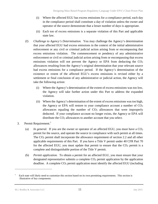- (i) Where the affected EGU has excess emissions for a compliance period, each day in the compliance period shall constitute a day of violation unless the owner and operator of the source demonstrate that a lesser number of days is appropriate.
- (ii) Each ton of excess emissions is a separate violation of this Part and applicable state law.
- (f) *Challenge to Agency's Determination.* You may challenge the Agency's determination that your affected EGU had excess emissions in the context of the initial administrative enforcement or any civil or criminal judicial action arising from or encompassing that excess emissions violation. The commencement or pendency of any administrative enforcement or civil or criminal judicial action arising from or encompassing that excess emissions violation will not prevent the Agency or EPA from deducting the  $CO<sub>2</sub>$ allowances resulting from the Agency's original determination that your relevant source had excess emissions for a compliance period. If the Agency's determination of the existence or extent of the affected EGU's excess emissions is revised either by a settlement or final conclusion of any administrative or judicial action, the Agency will take the following action:
	- (i) Where the Agency's determination of the extent of excess emissions was too low, the Agency will take further action under this Part to address the expanded violation.
	- (ii) Where the Agency's determination of the extent of excess emissions was too high, the Agency or EPA will restore to your compliance account a number of  $CO<sub>2</sub>$ allowances equaling the number of  $CO<sub>2</sub>$  allowances that were improperly deducted. If your compliance account no longer exists, the Agency or EPA will distribute the CO<sub>2</sub> allowances to another account that you select.
- 3. Permit Requirement.<sup>7</sup>
	- (a) *In general.* If you are the owner or operator of an affected EGU, you must have a  $CO<sub>2</sub>$ permit for the source, and operate the source in compliance with such permit at all times. The CO<sup>2</sup> permit shall incorporate the allowance requirement of section 2.2 and all other applicable requirements of this Part. If you have a Title V permit under 40 CFR Part 70 for the affected EGU, you must update that permit to ensure that the  $CO<sub>2</sub>$  permit is a complete and distinguishable portion of the Title V permit.
	- (b) *Permit application.* To obtain a permit for an affected EGU, you must ensure that your designated representative submits a complete  $CO<sub>2</sub>$  permit application by the application deadline. A complete CO<sub>2</sub> permit application must identify the affected EGU (including

<sup>7</sup> Each state will likely need to customize this section based on its own permitting requirements. This section is illustrative of key components.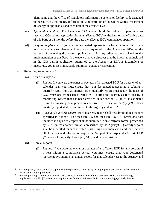plant name and the Office of Regulatory Information Systems or facility code assigned to the source by the Energy Information Administration of the United States Department of Energy, if applicable) and each unit at the affected EGU.

- (c) *Application deadline.* The Agency, or EPA where it is administering such permits, must receive a CO<sub>2</sub> permit application from an affected EGU by the later of the effective date of this Part, or 12 months before the date the affected EGU commences operation.
- (d) *Duty to Supplement.* If you are the designated representative for an affected EGU, you must submit any supplemental information requested by the Agency or EPA for the purpose of reviewing the permit application or for any other purpose related to the implementation of this Part. In the event that you discover that the information included in the  $CO<sub>2</sub>$  permit application submitted to the Agency or EPA is incomplete or inaccurate, you must immediately submit an update or correction.
- 4. Reporting Requirements.<sup>8</sup>
	- (a) Quarterly reports*.* 
		- (i) *Report.* If you were the owner or operator of an affected EGU for a quarter of any calendar year, you must ensure that your designated representative submits a quarterly report for that quarter. Each quarterly report must report the mass of CO<sup>2</sup> emissions from each affected EGU during the quarter, as recorded by a monitoring system that has been certified under section 5.1(a), or as estimated using the missing data procedures referred to in section  $5.1(a)(i)(2)$ . Each quarterly report shall be submitted to the Agency and to EPA.
		- (ii) *Format of quarterly report.* Each quarterly report shall be submitted in a manner specified in Subpart H of 40 CFR §75 and 40 CFR §75.64.<sup>9</sup> Emissions data included in a quarterly report shall be submitted in an electronic format prescribed by EPA (unless another format is prescribed by the Agency). Quarterly reports shall be submitted for each affected EGU using a common stack, and shall include all of the data and information required in Subpart G and Appendix G of 40 CFR §75 except for opacity, heat input,  $NO<sub>X</sub>$ , and  $SO<sub>2</sub>$  provisions.
	- (b) Annual reports.
		- (i) *Report.* If you were the owner or operator of an affected EGU for any portion of a year within a compliance period, you must ensure that your designated representative submits an annual report for that calendar year to the Agency and

<sup>8</sup> As appropriate, states could also supplement or replace this language by leveraging their existing programs and citing current reporting requirements.

<sup>9</sup> 40 CFR §75 Subpart H contains the NO<sup>x</sup> Mass Emissions Provisions of the Continuous Emissions Monitoring regulations. 40 CFR §75.64 contains requirements for the Continuous Emissions Monitoring Quarterly Reports.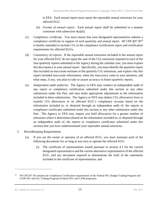to EPA. Each annual report must report the reportable annual emissions for your affected EGU.

- (ii) *Format of annual report*. Each annual report shall be submitted in a manner consistent with subsection 4(a)(ii).
- (c) *Compliance certificate.* You must ensure that your designated representative submits a compliance certificate in support of each quarterly and annual report. 40 CFR §97.30<sup>10</sup> is hereby amended to include  $CO<sub>2</sub>$  in the compliance certification report and certification requirements for affected EGUs.
- (d) *Consistency of reports.* If the reportable annual emissions included in the annual report for your affected EGU do not equal the sum of the  $CO<sub>2</sub>$  emissions reported in each of the four quarterly reports submitted to the Agency during the calendar year, you must explain this discrepancy in your annual report. Specifically, you must identify the quarterly report that included an inaccurate estimate of the quarterly  $CO<sub>2</sub>$  emissions, and explain why this report included inaccurate information, when the inaccuracy came to your attention, and what steps, if any, you plan to take to assure accuracy in future quarterly reports.
- (e) *Independent audit authority.* The Agency or EPA may conduct an independent audit of any report or compliance certification submitted under this section or any other submission under this Part, and may make appropriate adjustments to the information included in these submissions. The Agency or EPA may deduct  $CO<sub>2</sub>$  allowances from or transfer  $CO<sub>2</sub>$  allowances to an affected EGU's compliance account based on the information included in, or obtained through an independent audit of, the reports or compliance certificates submitted under this section or any other submission under this Part. The Agency or EPA may require you hold allowances for a greater number of emissions where it determines (based on the information included in, or obtained through an independent audit of, the reports or compliance certificates submitted under this section) that you have underestimated your reportable annual emissions.
- 5. Recordkeeping Requirements.
	- (a) If you are the owner or operator of an affected EGU, you must maintain each of the following documents for as long as you own or operate the affected EGU:
		- (i) The certificate of representation issued pursuant to section 4.1 for the current designated representative and the current alternative representative of the affected EGU, and any document required to demonstrate the truth of the statements included in the certificate of representation; and

<sup>10</sup> 40 CFR §97.30 contains the Compliance Certification requirements of the Federal NO<sup>x</sup> Budget Trading Program and CAIR  $NO<sub>x</sub>$  and  $SO<sub>2</sub>$  Trading Programs (Federal  $NO<sub>x</sub>$  and CAIR programs).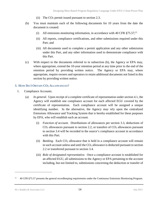- (ii) The  $CO<sub>2</sub>$  permit issued pursuant to section 2.3.
- (b) You must maintain each of the following documents for 10 years from the date the document is created:
	- (i) All emissions monitoring information, in accordance with 40 CFR  $\S75.57$ ;<sup>11</sup>
	- (ii) All reports, compliance certifications, and other submissions required under this Part; and
	- (iii) All documents used to complete a permit application and any other submission under this Part, and any other information used to demonstrate compliance with this Part.
- (c) With respect to the documents referred to in subsection (b), the Agency or EPA may, where appropriate, extend the 10-year retention period at any time prior to the end of the retention period by providing written notice. The Agency or EPA may, where appropriate, require owners and operators to retain additional documents not listed in this section by providing written notice.

#### <span id="page-16-0"></span>**3. HOW DO I OBTAIN CO<sup>2</sup> ALLOWANCES?**

- 1. Compliance Accounts.
	- (a) *In general.* Upon receipt of a complete certificate of representation under section 4.1, the Agency will establish one compliance account for each affected EGU covered by the certificate of representation. Each compliance account will be assigned a unique identifying number. In the alternative, the Agency may rely upon the centralized Emissions Allowance and Tracking System that is hereby established for these purposes by EPA, who will establish such an account.
		- (i) *Function of account.* Distributions of allowances per section 3.3, deductions of  $CO<sub>2</sub>$  allowances pursuant to section 2.2, or transfers of  $CO<sub>2</sub>$  allowances pursuant to section 3.4 will be recorded in the source's compliance account in accordance with this Part.
		- (ii) *Banking*. Each CO<sub>2</sub> allowance that is held in a compliance account will remain in such account unless and until the  $CO<sub>2</sub>$  allowance is deducted pursuant to section 2.2 or transferred pursuant to section 3.4.
		- (iii) *Role of designated representative.* Once a compliance account is established for an affected EGU, all submissions to the Agency or EPA pertaining to the account including, but not limited to, submissions concerning the deduction or transfer of

<sup>11</sup> 40 CFR §75.57 presents the general recordkeeping requirements under the Continuous Emissions Monitoring Program.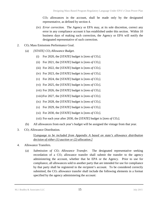CO<sup>2</sup> allowances in the account, shall be made only by the designated representative, as defined by section 4.

- (iv) *Error correction.* The Agency or EPA may, at its sole discretion, correct any error in any compliance account it has established under this section. Within 10 business days of making such correction, the Agency or EPA will notify the designated representative of such correction.
- 2. CO<sup>2</sup> Mass Emissions Performance Goal.
	- (a) *[STATE] CO2 Allowance Budget.*
		- (i) For 2020, the [*STATE*] budget is [*tons of CO2*].
		- (ii) For 2021, the [*STATE*] budget is [*tons of CO2*].
		- (iii) For 2022, the [*STATE*] budget is [*tons of CO2*].
		- (iv) For 2023, the [*STATE*] budget is [*tons of CO2*].
		- (v) For 2024, the [*STATE*] budget is [*tons of CO2*].
		- (vi) For 2025, the [*STATE*] budget is [*tons of CO2*].
		- (vii) For 2026, the [*STATE*] budget is [*tons of CO2*].
		- (viii)For 2027, the [*STATE*] budget is [*tons of CO2*].
		- (ix) For 2028, the [*STATE*] budget is [*tons of CO2*].
		- (x) For 2029, the [*STATE*] budget is [*tons of CO2*].
		- (xi) For 2030, the [*STATE*] budget is [*tons of CO2*].
		- (xii) For each year after 2030, the [*STATE*] budget is [*tons of CO2*].
	- (b) All allowances from each year's budget will be assigned the vintage from that year.
- 3. CO<sub>2</sub> Allowance Distribution.

## [*Language to be included from Appendix A based on state's allowance distribution decision of either (1) auction or (2) allocation.]*

- <span id="page-17-0"></span>4. Allowance Transfers.
	- (a) *Submission of CO<sup>2</sup> Allowance Transfer.* The designated representative seeking recordation of a  $CO<sub>2</sub>$  allowance transfer shall submit the transfer to the agency administering the account, whether that be EPA or the Agency. Prior to use for compliance, all allowances sold to another party that are intended for use for compliance by that party shall be registered in the recipient's account. To be considered correctly submitted, the  $CO<sub>2</sub>$  allowance transfer shall include the following elements in a format specified by the agency administering the account: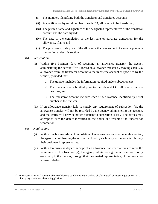- (i) The numbers identifying both the transferor and transferee accounts;
- (ii) A specification by serial number of each  $CO<sub>2</sub>$  allowance to be transferred;
- (iii) The printed name and signature of the designated representative of the transferor account and the date signed;
- (iv) The date of the completion of the last sale or purchase transaction for the allowance, if any; and
- (v) The purchase or sale price of the allowance that was subject of a sale or purchase transaction under this section.
- (b) *Recordation.* 
	- (i) Within five business days of receiving an allowance transfer, the agency administering the account<sup>12</sup> will record an allowance transfer by moving each  $CO<sub>2</sub>$ allowance from the transferor account to the transferee account as specified by the request, provided that:
		- 1. The transfer includes the information required under subsection [\(a\);](#page-17-0)
		- 2. The transfer was submitted prior to the relevant  $CO<sub>2</sub>$  allowance transfer deadline; and
		- 3. The transferor account includes each  $CO<sub>2</sub>$  allowance identified by serial number in the transfer.
	- (ii) If an allowance transfer fails to satisfy any requirement of subsection (a), the allowance transfer will not be recorded by the agency administering the account, and that entity will provide notice pursuant to subsection  $(c)(ii)$ . The parties may attempt to cure the defect identified in the notice and resubmit the transfer for recordation.
- (c) *Notification*.
	- (i) Within five business days of recordation of an allowance transfer under this section, the agency administering the account will notify each party to the transfer, through their designated representative.
	- (ii) Within ten business days of receipt of an allowance transfer that fails to meet the requirements of subsection (a), the agency administering the account will notify each party to the transfer, through their designated representative, of the reason for non-recordation.

<sup>12</sup> We expect states will have the choice of electing to administer the trading platform itself, or requesting that EPA or a third party administer the trading platform.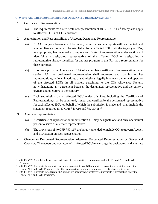#### <span id="page-19-0"></span>**4. WHAT ARE THE REQUIREMENTS FOR DESIGNATED REPRESENTATIVES?**

- 1. Certificate of Representation.
	- (a) The requirements for a certificate of representation of 40 CFR  $\S 97.13^{13}$  hereby also apply to affected EGUs of  $CO<sub>2</sub>$  emissions.
- 2. Authorization and Responsibilities of Account Designated Representative.
	- (a) No CO2 budget allowance will be issued, no emissions data reports will be accepted, and no compliance account will be established for an affected EGU until the Agency or EPA, as appropriate, has received a complete certificate of representation under section 4.1 identifying a designated representative of the affected EGU or designating a representative already identified for another program in this Part as a representative for these purposes.
	- (b) Upon receipt by the Agency and EPA of a complete certificate of representation under section 4.1, the designated representative shall represent and, by his or her representations, actions, inactions, or submissions, legally bind each owner and operator of the affected EGUs in all matters pertaining to the  $CO<sub>2</sub>$  Allowance System, notwithstanding any agreement between the designated representative and the entity's owners and operators to the contrary.
	- (c) Each submission by an affected EGU under this Part, including the Certificate of Representation, shall be submitted, signed, and certified by the designated representative for each affected EGU on behalf of which the submission is made and shall include the statement required in 40 CFR §§97.10 and §97.30(c). $14$
- 3. Alternate Representative.
	- (a) A certificate of representation under section 4.1 may designate one and only one natural person to serve as alternate representative.
	- (b) The provisions of 40 CFR §97.11<sup>15</sup> are hereby amended to include  $CO<sub>2</sub>$  to govern Agency and EPA action on such representation.
- 4. Changes to Designated Representative, Alternate Designated Representative, or Owner and Operator. The owners and operators of an affected EGU may change the designated and alternate

<sup>&</sup>lt;sup>13</sup> 40 CFR §97.13 regulates the account certificate of representation requirements under the Federal NO<sub>x</sub> and CAIR Programs.

<sup>&</sup>lt;sup>14</sup> 40 CFR §97.10 presents the authorization and responsibilities of NO<sub>x</sub> authorized account representative under the Federal NO<sub>x</sub> and CAIR Programs; §97.30(c) contains that program's compliance certification requirements.

<sup>&</sup>lt;sup>15</sup> 40 CFR §97.11 presents the alternate  $NO_x$  authorized account representative requirements representative under the Federal NO<sup>x</sup> and CAIR Programs.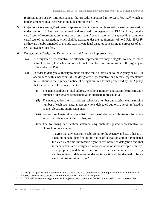representatives at any time pursuant to the procedure specified in 40 CFR  $\S 97.12,^{16}$  which is hereby amended in all respects to include emissions of  $CO<sub>2</sub>$ .

- 5. Objections Concerning Designated Representative. Once a complete certificate of representation under section 4.1 has been submitted and received, the Agency and EPA will rely on the certificate of representation unless and until the Agency receives a superseding complete certificate of representation, which shall be treated under the requirements of 40 C.F.R.  $\S 97.14^{17}$ as they are hereby amended to include  $CO<sub>2</sub>$  private legal disputes concerning the proceeds of any CO<sup>2</sup> allowance transfers.
- 6. Delegation by Designated Representative and Alternate Representative.
	- (a) A designated representative or alternate representative may delegate, to one or more natural persons, his or her authority to make an electronic submission to the Agency or EPA under this Part.
	- (b) In order to delegate authority to make an electronic submission to the Agency or EPA in accordance with subsection (a), the designated representative or alternate representative must submit to the Agency a notice of delegation, in a format prescribed by the Agency that includes the following elements:
		- (i) The name, address, e-mail address, telephone number, and facsimile transmission number of designated representative or alternate representative;
		- (ii) The name, address, e-mail address, telephone number and facsimile transmission number of each such natural person who is delegated authority, herein referred to as the "electronic submission agent";
		- (iii) For each such natural person, a list of the type of electronic submissions for which authority is delegated to him or her; and
		- (iv) The following certification statements by such designated representative or alternate representative:

"I agree that any electronic submission to the Agency and EPA that is by a natural person identified in this notice of delegation and of a type listed for such electronic submission agent in this notice of delegation and that is made when I am a designated representative or alternate representative, as appropriate, and before this notice of delegation is superseded by another notice of delegation under section 4.6, shall be deemed to be an electronic submission by me."

<sup>16</sup> 40 CFR §97.12 presents the requirements for changing the  $NO<sub>x</sub>$  authorized account representative and alternate  $NO<sub>x</sub>$ authorized account representative under the Federal NO<sup>x</sup> and CAIR Programs.

<sup>17</sup> 40 C.F.R. §97.14 contains regulations for filing objections concerning the  $NO<sub>x</sub>$  authorized account representative.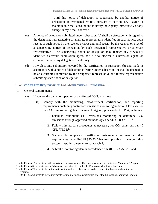"Until this notice of delegation is superseded by another notice of delegation or terminated entirely pursuant to section 4.6, I agree to maintain an e-mail account and to notify the Agency immediately of any change in my e-mail address."

- (c) A notice of delegation submitted under subsection (b) shall be effective, with regard to the designated representative or alternate representative identified in such notice, upon receipt of such notice by the Agency or EPA and until receipt by the Agency or EPA of a superseding notice of delegation by such designated representative or alternate representative. The superseding notice of delegation may replace any previously identified electronic submission agent, add a new electronic submission agent, or eliminate entirely any delegation of authority.
- (d) Any electronic submission covered by the certification in subsection (b) and made in accordance with a notice of delegation effective under subsection (c) shall be deemed to be an electronic submission by the designated representative or alternate representative submitting such notice of delegation.

### <span id="page-21-0"></span>**5. WHAT ARE THE REQUIREMENTS FOR MONITORING & REPORTING?**

- 1. General Requirements.
	- (a) If you are the owner or operator of an affected EGU, you must:
		- (i) Comply with the monitoring, measurement, certification, and reporting requirements, including continuous emissions monitoring under 40 CFR § 75, for their CO<sub>2</sub> emissions regulated pursuant to Agency plans under this Part, including:
			- 1. Establish continuous  $CO<sub>2</sub>$  emissions monitoring or determine  $CO<sub>2</sub>$ emissions through approved methodologies per 40 CFR §75.13;<sup>18</sup>
			- 2. Follow missing data procedures as necessary for  $CO<sub>2</sub>$  emissions per 40 CFR §75.35; 19
			- 3. Successfully complete all certification tests required and meet all other requirements under 40 CFR  $\S75.20^{20}$  that are applicable to the monitoring systems installed pursuant to paragraph 1;
			- 4. Submit a monitoring plan in accordance with 40 CFR  $\S75.62$ ;<sup>21</sup> and

<sup>18</sup> 40 CFR §75.13 presents specific provisions for monitoring CO<sup>2</sup> emissions under the Emissions Monitoring Program.

<sup>19</sup> 40 CFR §75.35 presents missing data procedures for CO<sup>2</sup> under the Emissions Monitoring Program.

<sup>20</sup> 40 CFR §75.20 presents the initial certification and recertification procedures under the Emissions Monitoring Program.

<sup>21</sup> 40 CFR §75.62 presents the requirements for monitoring plan submittals under the Emissions Monitoring Program.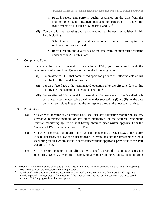- 5. Record, report, and perform quality assurance on the data from the monitoring systems installed pursuant to paragraph 1 under the requirements of 40 CFR  $\S$ 75 Subparts F and G.<sup>22</sup>
- (ii) Comply with the reporting and recordkeeping requirements established in this Part, including:
	- 1. Submit and certify reports and meet all other requirements as required by section 2.4 of this Part; and
	- 2. Record, report, and quality-assure the data from the monitoring systems under section 2.5 of this Part.
- 2. Compliance Dates*.*
	- (a) If you are the owner or operator of an affected EGU, you must comply with the requirements of subsection (1)(a) on or before the following dates:
		- (i) For an affected EGU that commenced operation prior to the effective date of this Part, by the effective date of this Part.
		- (ii) For an affected EGU that commenced operation after the effective date of this Part, by the first date of commercial operation.<sup>23</sup>
		- (iii) For an affected EGU at which construction of a new stack or flue installation is completed after the applicable deadline under subsections (i) and (ii), by the date on which emissions first exit to the atmosphere through the new stack or flue.
- 3. Prohibitions*.*
	- (a) No owner or operator of an affected EGU shall use any alternative monitoring system, alternative reference method, or any other alternative for the required continuous emission monitoring system without having obtained prior written approval from the Agency or EPA in accordance with this Part.
	- (b) No owner or operator of an affected EGU shall operate any affected EGU at the source so as to discharge, or allow to be discharged,  $CO<sub>2</sub>$  emissions into the atmosphere without accounting for all such emissions in accordance with the applicable provisions of this Part and 40 CFR §75.
	- (c) No owner or operator of an affected EGU shall disrupt the continuous emission monitoring system, any portion thereof, or any other approved emission monitoring

<sup>&</sup>lt;sup>22</sup> 40 CFR §75 Subparts F and G constitute §§75.50 – 75.75, and cover all Recordkeeping Requirements and Reporting Requirements under the Emissions Monitoring Program.

<sup>23</sup> As indicated in the document, we have assumed that states will choose to use EPA's final mass-based targets that include expected future generation from new fossil fuel-fired sources and include new sources in the mass-based program. This language reflects this assumption.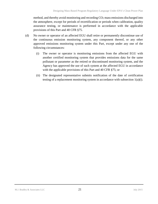method, and thereby avoid monitoring and recording  $CO<sub>2</sub>$  mass emissions discharged into the atmosphere, except for periods of recertification or periods when calibration, quality assurance testing, or maintenance is performed in accordance with the applicable provisions of this Part and 40 CFR §75.

- (d) No owner or operator of an affected EGU shall retire or permanently discontinue use of the continuous emission monitoring system, any component thereof, or any other approved emissions monitoring system under this Part, except under any one of the following circumstances:
	- (i) The owner or operator is monitoring emissions from the affected EGU with another certified monitoring system that provides emissions data for the same pollutant or parameter as the retired or discontinued monitoring system, and the Agency has approved the use of such system at the affected EGU in accordance with the applicable provisions of this Part and 40 CFR §75; or
	- (ii) The designated representative submits notification of the date of certification testing of a replacement monitoring system in accordance with subsection 1(a)(i).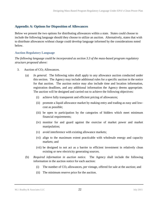## <span id="page-24-0"></span>**Appendix A: Options for Disposition of Allowances**

Below we present the two options for distributing allowances within a state. States could choose to include the following language should they choose to utilize an auction. Alternatively, states that wish to distribute allowances without charge could develop language informed by the considerations noted below.

#### <span id="page-24-1"></span>**Auction Regulatory Language**

*The following language could be incorporated as section 3.3 of the mass-based program regulatory structure proposed above:*

- 3. Auction of  $CO<sub>2</sub>$  Allowances.
	- (a) *In general.* The following rules shall apply to any allowance auction conducted under this section. The Agency may include additional rules for a specific auction in the notice for that auction. The auction notice may also include time and location information, registration deadlines, and any additional information the Agency deems appropriate. The auction will be designed and carried out to achieve the following objectives:
		- (i) achieve fully transparent and efficient pricing of allowances;
		- (ii) promote a liquid allowance market by making entry and trading as easy and lowcost as possible;
		- (iii) be open to participation by the categories of bidders which meet minimum financial requirements;
		- (iv) monitor for and guard against the exercise of market power and market manipulation;
		- (v) avoid interference with existing allowance markets;
		- (vi) align to the maximum extent practicable with wholesale energy and capacity markets; and
		- (vii) be designed to not act as a barrier to efficient investment in relatively clean existing or new electricity generating sources.
	- (b) *Required information in auction notice.* The Agency shall include the following information in the auction notice for each auction:
		- (i) The number of  $CO<sub>2</sub>$  allowances, per vintage, offered for sale at the auction; and
		- (ii) The minimum reserve price for the auction.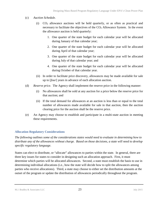## (c) *Auction Schedule.*

- (i)  $CO<sub>2</sub>$  allowance auctions will be held quarterly, or as often as practical and necessary to facilitate the objectives of the  $CO<sub>2</sub>$  Allowance System. In the event the allowance auction is held quarterly:
	- 1. One quarter of the state budget for each calendar year will be allocated during January of that calendar year;
	- 2. One quarter of the state budget for each calendar year will be allocated during April of that calendar year;
	- 3. One quarter of the state budget for each calendar year will be allocated during July of that calendar year; and
	- 4. One quarter of the state budget for each calendar year will be allocated during October of that calendar year.
- (ii) In order to facilitate price discovery, allowances may be made available for sale up to [*four*] years in advance of each allocation auction.
- (d) *Reserve price.* The Agency shall implement the reserve price in the following manner:
	- (i) No allowances shall be sold at any auction for a price below the reserve price for that auction; and
	- (ii) If the total demand for allowances at an auction is less than or equal to the total number of allowances made available for sale in that auction, then the auction clearing price for the auction shall be the reserve price.
- (e) An Agency may choose to establish and participate in a multi-state auction in meeting these requirements.

# <span id="page-25-0"></span>**Allocation Regulatory Considerations**

*The following outlines some of the considerations states would need to evaluate in determining how to distribute any of the allowances without charge. Based on those decisions, a state will need to develop specific regulatory language.* 

States can elect to distribute, or "allocate" allowances to parties within the state. In general, there are three key issues for states to consider in designing such an allocation approach. First, it must determine which parties will be allocated allowances. Second, a state must establish the basis to use in determining individual allocations (i.e., how the state will decide how to split the allowances among parties who receive allocations). Third, a state may choose to either set the distribution amounts at the outset of the program or update the distribution of allowances periodically throughout the program.

M.J. Bradley & Associates LLC 23 July 2015